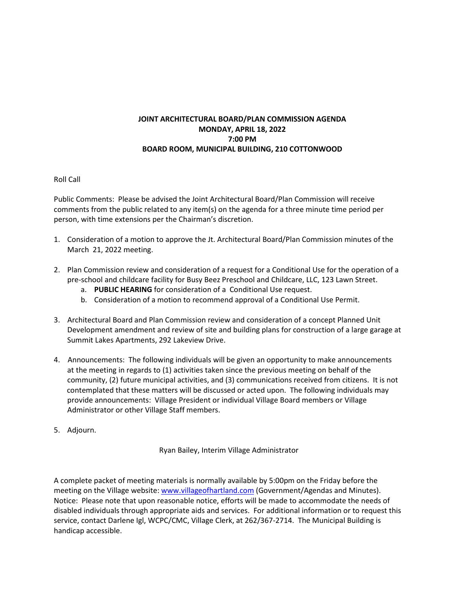## **JOINT ARCHITECTURAL BOARD/PLAN COMMISSION AGENDA MONDAY, APRIL 18, 2022 7:00 PM BOARD ROOM, MUNICIPAL BUILDING, 210 COTTONWOOD**

## Roll Call

Public Comments: Please be advised the Joint Architectural Board/Plan Commission will receive comments from the public related to any item(s) on the agenda for a three minute time period per person, with time extensions per the Chairman's discretion.

- 1. Consideration of a motion to approve the Jt. Architectural Board/Plan Commission minutes of the March 21, 2022 meeting.
- 2. Plan Commission review and consideration of a request for a Conditional Use for the operation of a pre-school and childcare facility for Busy Beez Preschool and Childcare, LLC, 123 Lawn Street.
	- a. **PUBLIC HEARING** for consideration of a Conditional Use request.
	- b. Consideration of a motion to recommend approval of a Conditional Use Permit.
- 3. Architectural Board and Plan Commission review and consideration of a concept Planned Unit Development amendment and review of site and building plans for construction of a large garage at Summit Lakes Apartments, 292 Lakeview Drive.
- 4. Announcements: The following individuals will be given an opportunity to make announcements at the meeting in regards to (1) activities taken since the previous meeting on behalf of the community, (2) future municipal activities, and (3) communications received from citizens. It is not contemplated that these matters will be discussed or acted upon. The following individuals may provide announcements: Village President or individual Village Board members or Village Administrator or other Village Staff members.
- 5. Adjourn.

Ryan Bailey, Interim Village Administrator

A complete packet of meeting materials is normally available by 5:00pm on the Friday before the meeting on the Village website[: www.villageofhartland.com](http://www.villageofhartland.com/index.aspx?nid=103) (Government/Agendas and Minutes). Notice: Please note that upon reasonable notice, efforts will be made to accommodate the needs of disabled individuals through appropriate aids and services. For additional information or to request this service, contact Darlene Igl, WCPC/CMC, Village Clerk, at 262/367-2714. The Municipal Building is handicap accessible.